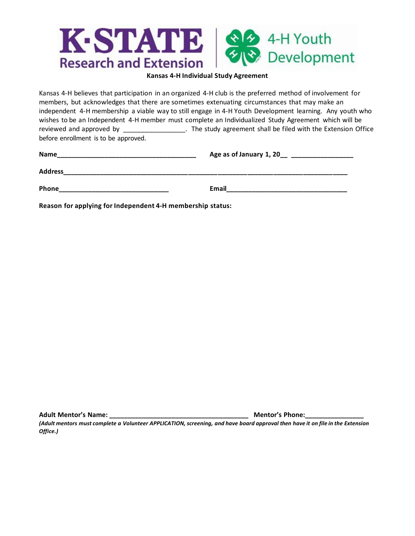

#### **Kansas 4-H Individual Study Agreement**

Kansas 4-H believes that participation in an organized 4-H club is the preferred method of involvement for members, but acknowledges that there are sometimes extenuating circumstances that may make an independent 4-H membership a viable way to still engage in 4-H Youth Development learning. Any youth who wishes to be an Independent 4-H member must complete an Individualized Study Agreement which will be reviewed and approved by \_\_\_\_\_\_\_\_\_\_\_\_\_\_\_\_\_. The study agreement shall be filed with the Extension Office before enrollment is to be approved.

| <b>Name</b><br><u> 1989 - Johann John Harry Harry Harry Harry Harry Harry Harry Harry Harry Harry Harry Harry Harry Harry Harry</u> | Age as of January 1, 20__ ___________________                                                        |  |
|-------------------------------------------------------------------------------------------------------------------------------------|------------------------------------------------------------------------------------------------------|--|
| <b>Address</b>                                                                                                                      |                                                                                                      |  |
| Phone<br>the control of the control of the control of the control of the control of the control of                                  | Email 2008 - 2008 - 2008 - 2010 - 2010 - 2010 - 2011 - 2012 - 2012 - 2013 - 2014 - 2014 - 2014 - 201 |  |
| Reason for applying for Independent 4-H membership status:                                                                          |                                                                                                      |  |

**Adult Mentor's Name: \_\_\_\_\_\_\_\_\_\_\_\_\_\_\_\_\_\_\_\_\_\_\_\_\_\_\_\_\_\_\_\_\_\_\_\_\_\_ Mentor's Phone:\_\_\_\_\_\_\_\_\_\_\_\_\_\_\_\_** 

*(Adult mentors must complete a Volunteer APPLICATION, screening, and have board approval then have it on file in the Extension Office.)*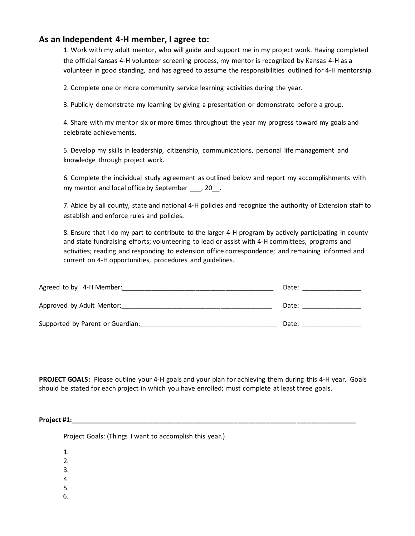## **As an Independent 4-H member, I agree to:**

1. Work with my adult mentor, who will guide and support me in my project work. Having completed the official Kansas 4-H volunteer screening process, my mentor is recognized by Kansas 4-H as a volunteer in good standing, and has agreed to assume the responsibilities outlined for 4-H mentorship.

2. Complete one or more community service learning activities during the year.

3. Publicly demonstrate my learning by giving a presentation or demonstrate before a group.

4. Share with my mentor six or more times throughout the year my progress toward my goals and celebrate achievements.

5. Develop my skills in leadership, citizenship, communications, personal life management and knowledge through project work.

6. Complete the individual study agreement as outlined below and report my accomplishments with my mentor and local office by September \_\_\_, 20\_\_.

7. Abide by all county, state and national 4-H policies and recognize the authority of Extension staff to establish and enforce rules and policies.

8. Ensure that I do my part to contribute to the larger 4-H program by actively participating in county and state fundraising efforts; volunteering to lead or assist with 4-H committees, programs and activities; reading and responding to extension office correspondence; and remaining informed and current on 4-H opportunities, procedures and guidelines.

| Agreed to by 4-H Member:         | Date: |
|----------------------------------|-------|
| Approved by Adult Mentor:        | Date: |
| Supported by Parent or Guardian: | Date: |

**PROJECT GOALS:** Please outline your 4-H goals and your plan for achieving them during this 4-H year. Goals should be stated for each project in which you have enrolled; must complete at least three goals.

**Project #1:\_\_\_\_\_\_\_\_\_\_\_\_\_\_\_\_\_\_\_\_\_\_\_\_\_\_\_\_\_\_\_\_\_\_\_\_\_\_\_\_\_\_\_\_\_\_\_\_\_\_\_\_\_\_\_\_\_\_\_\_\_\_\_\_\_\_\_\_\_\_\_\_\_\_\_\_\_**

Project Goals: (Things I want to accomplish this year.)

1.

2.

3.

4.

5.

6.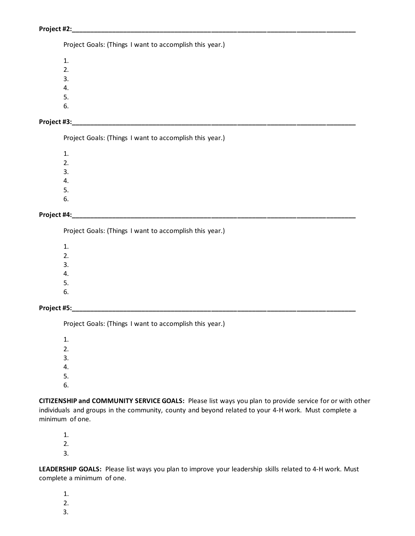Project Goals: (Things I want to accomplish this year.)

1. 2. 3. 4.

5.

6.

## **Project #3:\_\_\_\_\_\_\_\_\_\_\_\_\_\_\_\_\_\_\_\_\_\_\_\_\_\_\_\_\_\_\_\_\_\_\_\_\_\_\_\_\_\_\_\_\_\_\_\_\_\_\_\_\_\_\_\_\_\_\_\_\_\_\_\_\_\_\_\_\_\_\_\_\_\_\_\_\_**

Project Goals: (Things I want to accomplish this year.)

1. 2. 3. 4.

5.

6.

### **Project #4:\_\_\_\_\_\_\_\_\_\_\_\_\_\_\_\_\_\_\_\_\_\_\_\_\_\_\_\_\_\_\_\_\_\_\_\_\_\_\_\_\_\_\_\_\_\_\_\_\_\_\_\_\_\_\_\_\_\_\_\_\_\_\_\_\_\_\_\_\_\_\_\_\_\_\_\_\_**

Project Goals: (Things I want to accomplish this year.)

1. 2. 3.

4.

5. 6.

**Project #5:\_\_\_\_\_\_\_\_\_\_\_\_\_\_\_\_\_\_\_\_\_\_\_\_\_\_\_\_\_\_\_\_\_\_\_\_\_\_\_\_\_\_\_\_\_\_\_\_\_\_\_\_\_\_\_\_\_\_\_\_\_\_\_\_\_\_\_\_\_\_\_\_\_\_\_\_\_**

Project Goals: (Things I want to accomplish this year.)

1. 2. 3. 4. 5.

6.

**CITIZENSHIP and COMMUNITY SERVICE GOALS:** Please list ways you plan to provide service for or with other individuals and groups in the community, county and beyond related to your 4-H work. Must complete a minimum of one.

1.

2.

3.

**LEADERSHIP GOALS:** Please list ways you plan to improve your leadership skills related to 4-H work. Must complete a minimum of one.

1.

2.

3.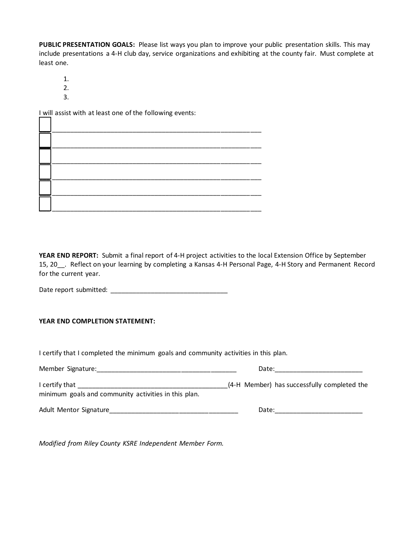**PUBLIC PRESENTATION GOALS:** Please list ways you plan to improve your public presentation skills. This may include presentations a 4-H club day, service organizations and exhibiting at the county fair. Must complete at least one.

- 1.
- 2.
- 3.

I will assist with at least one of the following events:

| ————————————<br>—————————————                                                                                                                                                                                                                                                                                                                                                                                                       |  |  |
|-------------------------------------------------------------------------------------------------------------------------------------------------------------------------------------------------------------------------------------------------------------------------------------------------------------------------------------------------------------------------------------------------------------------------------------|--|--|
| $\begin{array}{ccc} \begin{array}{ccc} \text{1} & \text{1} & \text{1} & \text{1} & \text{1} & \text{1} & \text{1} & \text{1} & \text{1} & \text{1} & \text{1} & \text{1} & \text{1} & \text{1} & \text{1} & \text{1} & \text{1} & \text{1} & \text{1} & \text{1} & \text{1} & \text{1} & \text{1} & \text{1} & \text{1} & \text{1} & \text{1} & \text{1} & \text{1} & \text{1} & \text{1} & \text{1} & \text{1} & \text{1} & \text$ |  |  |

**YEAR END REPORT:** Submit a final report of 4-H project activities to the local Extension Office by September 15, 20\_\_. Reflect on your learning by completing a Kansas 4-H Personal Page, 4-H Story and Permanent Record for the current year.

Date report submitted: \_\_\_\_\_\_\_\_\_\_\_\_\_\_\_\_\_\_\_\_\_\_\_\_\_\_\_\_\_\_\_\_

## **YEAR END COMPLETION STATEMENT:**

I certify that I completed the minimum goals and community activities in this plan.

| Member Signature:                                                      | Date:                                       |  |  |
|------------------------------------------------------------------------|---------------------------------------------|--|--|
| I certify that<br>minimum goals and community activities in this plan. | (4-H Member) has successfully completed the |  |  |
| Adult Mentor Signature                                                 | Date:                                       |  |  |

*Modified from Riley County KSRE Independent Member Form.*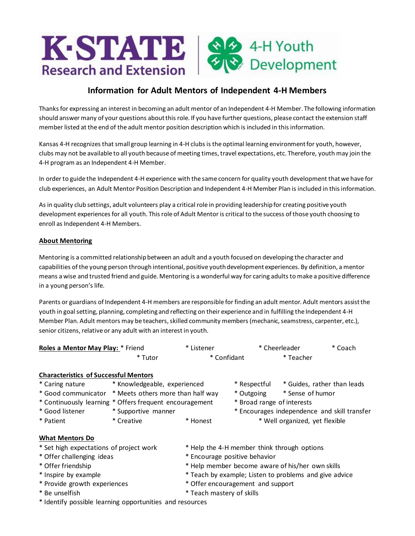

# **Information for Adult Mentors of Independent 4-H Members**

Thanks for expressing an interest in becoming an adult mentor of an Independent 4-H Member. The following information should answer many of your questions about this role. If you have further questions, please contact the extension staff member listed at the end of the adult mentor position description which is included in this information.

Kansas 4-H recognizes that small group learning in 4-H clubs is the optimal learning environment for youth, however, clubs may not be available to all youth because of meeting times, travel expectations, etc. Therefore, youth may join the 4-H program as an Independent 4-H Member.

In order to guide the Independent 4-H experience with the same concern for quality youth development that we have for club experiences, an Adult Mentor Position Description and Independent 4-H Member Plan is included in this information.

As in quality club settings, adult volunteers play a critical role in providing leadership for creating positive youth development experiences for all youth. This role of Adult Mentor is critical to the success of those youth choosing to enroll as Independent 4-H Members.

### **About Mentoring**

Mentoring is a committed relationship between an adult and a youth focused on developing the character and capabilities of the young person through intentional, positive youth development experiences. By definition, a mentor means a wise and trusted friend and guide. Mentoring is a wonderful way for caring adults to make a positive difference in a young person's life.

Parents or guardians of Independent 4-H members are responsible for finding an adult mentor. Adult mentors assist the youth in goal setting, planning, completing and reflecting on their experience and in fulfilling the Independent 4-H Member Plan. Adult mentors may be teachers, skilled community members (mechanic, seamstress, carpenter, etc.), senior citizens, relative or any adult with an interest in youth.

| Roles a Mentor May Play: * Friend | * Listener  | * Cheerleader | * Coach |
|-----------------------------------|-------------|---------------|---------|
| * Tutor                           | * Confidant | * Teacher     |         |

| <b>Characteristics of Successful Mentors</b>             |                                                       |                                                        |                                              |                             |  |
|----------------------------------------------------------|-------------------------------------------------------|--------------------------------------------------------|----------------------------------------------|-----------------------------|--|
| * Caring nature                                          | * Knowledgeable, experienced                          |                                                        | * Respectful                                 | * Guides, rather than leads |  |
|                                                          | * Good communicator * Meets others more than half way |                                                        | * Outgoing                                   | * Sense of humor            |  |
| * Continuously learning * Offers frequent encouragement  |                                                       | * Broad range of interests                             |                                              |                             |  |
| * Good listener                                          | * Supportive manner                                   |                                                        | * Encourages independence and skill transfer |                             |  |
| * Patient                                                | * Creative                                            | * Honest                                               | * Well organized, yet flexible               |                             |  |
| What Mentors Do                                          |                                                       |                                                        |                                              |                             |  |
| * Set high expectations of project work                  |                                                       |                                                        | * Help the 4-H member think through options  |                             |  |
| * Offer challenging ideas                                |                                                       |                                                        | * Encourage positive behavior                |                             |  |
| * Offer friendship                                       |                                                       | * Help member become aware of his/her own skills       |                                              |                             |  |
| * Inspire by example                                     |                                                       | * Teach by example; Listen to problems and give advice |                                              |                             |  |
| * Provide growth experiences                             |                                                       | * Offer encouragement and support                      |                                              |                             |  |
| * Be unselfish                                           | * Teach mastery of skills                             |                                                        |                                              |                             |  |
| * Identify possible learning opportunities and resources |                                                       |                                                        |                                              |                             |  |